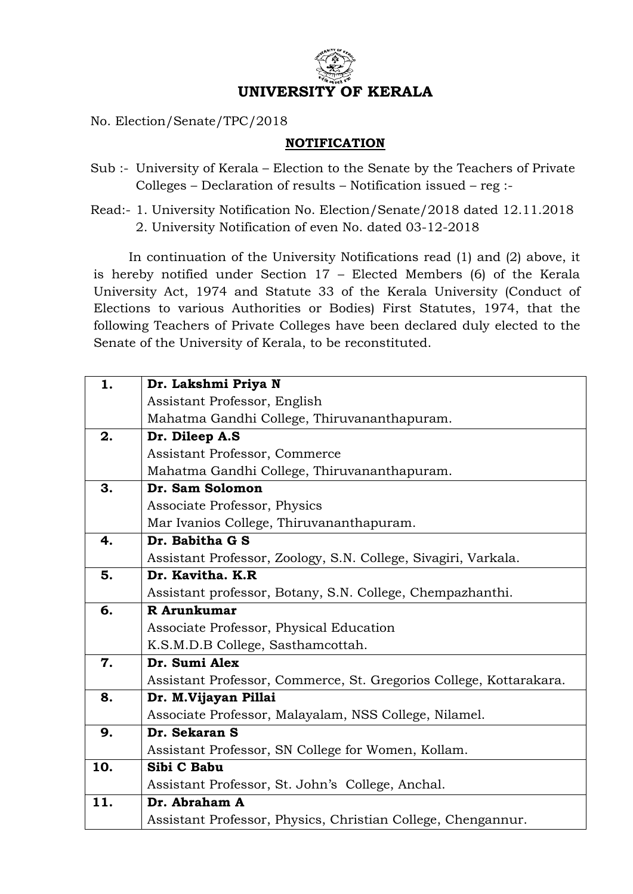

No. Election/Senate/TPC/2018

## **NOTIFICATION**

- Sub :- University of Kerala Election to the Senate by the Teachers of Private Colleges – Declaration of results – Notification issued – reg :-
- Read:- 1. University Notification No. Election/Senate/2018 dated 12.11.2018 2. University Notification of even No. dated 03-12-2018

In continuation of the University Notifications read (1) and (2) above, it is hereby notified under Section 17 – Elected Members (6) of the Kerala University Act, 1974 and Statute 33 of the Kerala University (Conduct of Elections to various Authorities or Bodies) First Statutes, 1974, that the following Teachers of Private Colleges have been declared duly elected to the Senate of the University of Kerala, to be reconstituted.

| 1.  | Dr. Lakshmi Priya N                                                |
|-----|--------------------------------------------------------------------|
|     | Assistant Professor, English                                       |
|     | Mahatma Gandhi College, Thiruvananthapuram.                        |
| 2.  | Dr. Dileep A.S                                                     |
|     | Assistant Professor, Commerce                                      |
|     | Mahatma Gandhi College, Thiruvananthapuram.                        |
| 3.  | Dr. Sam Solomon                                                    |
|     | Associate Professor, Physics                                       |
|     | Mar Ivanios College, Thiruvananthapuram.                           |
| 4.  | Dr. Babitha G S                                                    |
|     | Assistant Professor, Zoology, S.N. College, Sivagiri, Varkala.     |
| 5.  | Dr. Kavitha. K.R                                                   |
|     | Assistant professor, Botany, S.N. College, Chempazhanthi.          |
| 6.  | R Arunkumar                                                        |
|     | Associate Professor, Physical Education                            |
|     | K.S.M.D.B College, Sasthamcottah.                                  |
| 7.  | Dr. Sumi Alex                                                      |
|     | Assistant Professor, Commerce, St. Gregorios College, Kottarakara. |
| 8.  | Dr. M.Vijayan Pillai                                               |
|     | Associate Professor, Malayalam, NSS College, Nilamel.              |
| 9.  | Dr. Sekaran S                                                      |
|     | Assistant Professor, SN College for Women, Kollam.                 |
| 10. | Sibi C Babu                                                        |
|     | Assistant Professor, St. John's College, Anchal.                   |
| 11. | Dr. Abraham A                                                      |
|     | Assistant Professor, Physics, Christian College, Chengannur.       |